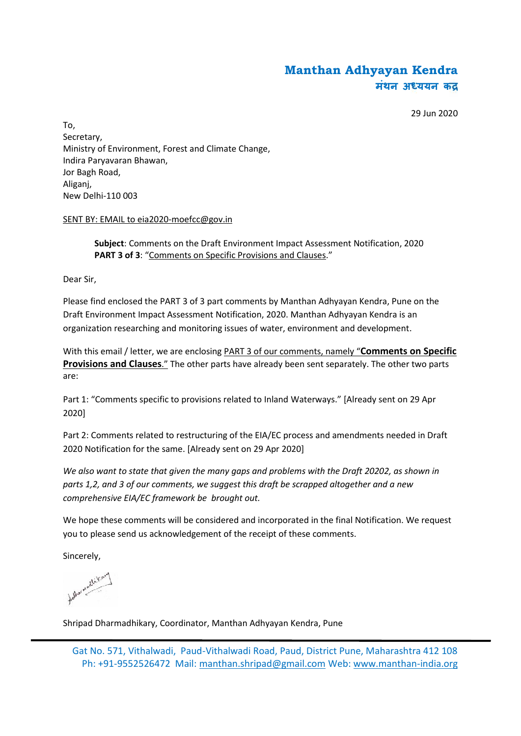# **Manthan Adhyayan Kendra मंथन अ ययन क**

29 Jun 2020

To, Secretary, Ministry of Environment, Forest and Climate Change, Indira Paryavaran Bhawan, Jor Bagh Road, Aliganj, New Delhi-110 003

#### SENT BY: EMAIL to eia2020-moefcc@gov.in

**Subject**: Comments on the Draft Environment Impact Assessment Notification, 2020 **PART 3 of 3**: "Comments on Specific Provisions and Clauses."

Dear Sir,

Please find enclosed the PART 3 of 3 part comments by Manthan Adhyayan Kendra, Pune on the Draft Environment Impact Assessment Notification, 2020. Manthan Adhyayan Kendra is an organization researching and monitoring issues of water, environment and development.

With this email / letter, we are enclosing PART 3 of our comments, namely "**Comments on Specific Provisions and Clauses**." The other parts have already been sent separately. The other two parts are:

Part 1: "Comments specific to provisions related to Inland Waterways." [Already sent on 29 Apr 2020]

Part 2: Comments related to restructuring of the EIA/EC process and amendments needed in Draft 2020 Notification for the same. [Already sent on 29 Apr 2020]

*We also want to state that given the many gaps and problems with the Draft 20202, as shown in parts 1,2, and 3 of our comments, we suggest this draft be scrapped altogether and a new comprehensive EIA/EC framework be brought out.*

We hope these comments will be considered and incorporated in the final Notification. We request you to please send us acknowledgement of the receipt of these comments.

Sincerely,

tother model ton

Shripad Dharmadhikary, Coordinator, Manthan Adhyayan Kendra, Pune

Gat No. 571, Vithalwadi, Paud-Vithalwadi Road, Paud, District Pune, Maharashtra 412 108 Ph: +91-9552526472 Mail: manthan.shripad@gmail.com Web: www.manthan-india.org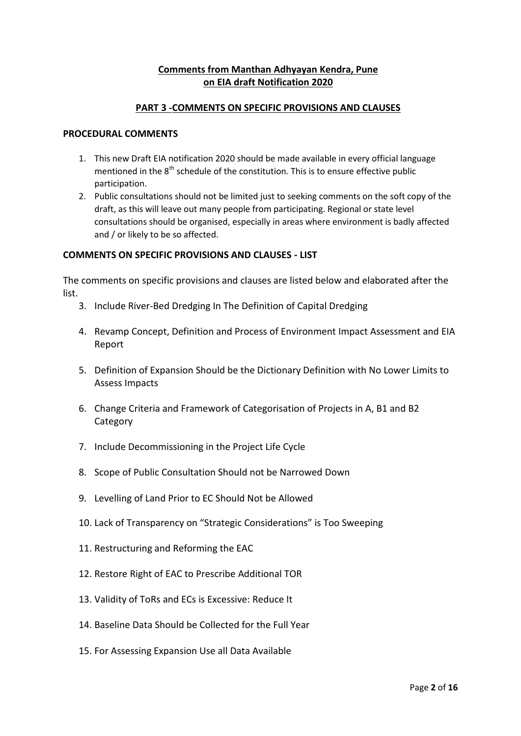# **Comments from Manthan Adhyayan Kendra, Pune on EIA draft Notification 2020**

#### **PART 3 -COMMENTS ON SPECIFIC PROVISIONS AND CLAUSES**

#### **PROCEDURAL COMMENTS**

- 1. This new Draft EIA notification 2020 should be made available in every official language mentioned in the  $8<sup>th</sup>$  schedule of the constitution. This is to ensure effective public participation.
- 2. Public consultations should not be limited just to seeking comments on the soft copy of the draft, as this will leave out many people from participating. Regional or state level consultations should be organised, especially in areas where environment is badly affected and / or likely to be so affected.

#### **COMMENTS ON SPECIFIC PROVISIONS AND CLAUSES - LIST**

The comments on specific provisions and clauses are listed below and elaborated after the list.

- 3. Include River-Bed Dredging In The Definition of Capital Dredging
- 4. Revamp Concept, Definition and Process of Environment Impact Assessment and EIA Report
- 5. Definition of Expansion Should be the Dictionary Definition with No Lower Limits to Assess Impacts
- 6. Change Criteria and Framework of Categorisation of Projects in A, B1 and B2 **Category**
- 7. Include Decommissioning in the Project Life Cycle
- 8. Scope of Public Consultation Should not be Narrowed Down
- 9. Levelling of Land Prior to EC Should Not be Allowed
- 10. Lack of Transparency on "Strategic Considerations" is Too Sweeping
- 11. Restructuring and Reforming the EAC
- 12. Restore Right of EAC to Prescribe Additional TOR
- 13. Validity of ToRs and ECs is Excessive: Reduce It
- 14. Baseline Data Should be Collected for the Full Year
- 15. For Assessing Expansion Use all Data Available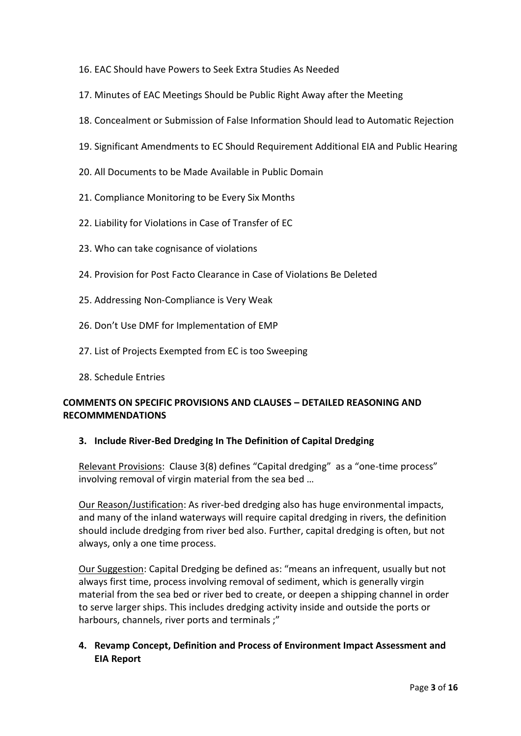- 16. EAC Should have Powers to Seek Extra Studies As Needed
- 17. Minutes of EAC Meetings Should be Public Right Away after the Meeting
- 18. Concealment or Submission of False Information Should lead to Automatic Rejection
- 19. Significant Amendments to EC Should Requirement Additional EIA and Public Hearing
- 20. All Documents to be Made Available in Public Domain
- 21. Compliance Monitoring to be Every Six Months
- 22. Liability for Violations in Case of Transfer of EC
- 23. Who can take cognisance of violations
- 24. Provision for Post Facto Clearance in Case of Violations Be Deleted
- 25. Addressing Non-Compliance is Very Weak
- 26. Don't Use DMF for Implementation of EMP
- 27. List of Projects Exempted from EC is too Sweeping
- 28. Schedule Entries

# **COMMENTS ON SPECIFIC PROVISIONS AND CLAUSES – DETAILED REASONING AND RECOMMMENDATIONS**

#### **3. Include River-Bed Dredging In The Definition of Capital Dredging**

Relevant Provisions: Clause 3(8) defines "Capital dredging" as a "one-time process" involving removal of virgin material from the sea bed …

Our Reason/Justification: As river-bed dredging also has huge environmental impacts, and many of the inland waterways will require capital dredging in rivers, the definition should include dredging from river bed also. Further, capital dredging is often, but not always, only a one time process.

Our Suggestion: Capital Dredging be defined as: "means an infrequent, usually but not always first time, process involving removal of sediment, which is generally virgin material from the sea bed or river bed to create, or deepen a shipping channel in order to serve larger ships. This includes dredging activity inside and outside the ports or harbours, channels, river ports and terminals ;"

# **4. Revamp Concept, Definition and Process of Environment Impact Assessment and EIA Report**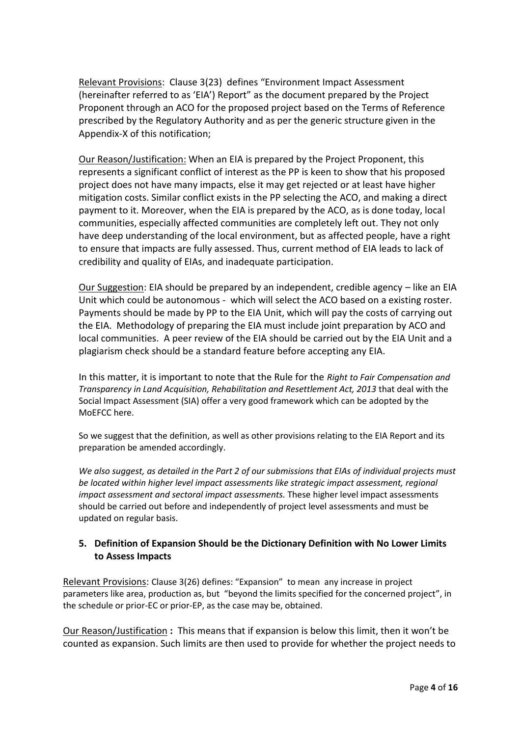Relevant Provisions: Clause 3(23) defines "Environment Impact Assessment (hereinafter referred to as 'EIA') Report" as the document prepared by the Project Proponent through an ACO for the proposed project based on the Terms of Reference prescribed by the Regulatory Authority and as per the generic structure given in the Appendix-X of this notification;

Our Reason/Justification: When an EIA is prepared by the Project Proponent, this represents a significant conflict of interest as the PP is keen to show that his proposed project does not have many impacts, else it may get rejected or at least have higher mitigation costs. Similar conflict exists in the PP selecting the ACO, and making a direct payment to it. Moreover, when the EIA is prepared by the ACO, as is done today, local communities, especially affected communities are completely left out. They not only have deep understanding of the local environment, but as affected people, have a right to ensure that impacts are fully assessed. Thus, current method of EIA leads to lack of credibility and quality of EIAs, and inadequate participation.

Our Suggestion: EIA should be prepared by an independent, credible agency – like an EIA Unit which could be autonomous - which will select the ACO based on a existing roster. Payments should be made by PP to the EIA Unit, which will pay the costs of carrying out the EIA. Methodology of preparing the EIA must include joint preparation by ACO and local communities. A peer review of the EIA should be carried out by the EIA Unit and a plagiarism check should be a standard feature before accepting any EIA.

In this matter, it is important to note that the Rule for the *Right to Fair Compensation and Transparency in Land Acquisition, Rehabilitation and Resettlement Act, 2013* that deal with the Social Impact Assessment (SIA) offer a very good framework which can be adopted by the MoEFCC here.

So we suggest that the definition, as well as other provisions relating to the EIA Report and its preparation be amended accordingly.

*We also suggest, as detailed in the Part 2 of our submissions that EIAs of individual projects must be located within higher level impact assessments like strategic impact assessment, regional impact assessment and sectoral impact assessments.* These higher level impact assessments should be carried out before and independently of project level assessments and must be updated on regular basis.

# **5. Definition of Expansion Should be the Dictionary Definition with No Lower Limits to Assess Impacts**

Relevant Provisions: Clause 3(26) defines: "Expansion" to mean any increase in project parameters like area, production as, but "beyond the limits specified for the concerned project", in the schedule or prior-EC or prior-EP, as the case may be, obtained.

Our Reason/Justification **:** This means that if expansion is below this limit, then it won't be counted as expansion. Such limits are then used to provide for whether the project needs to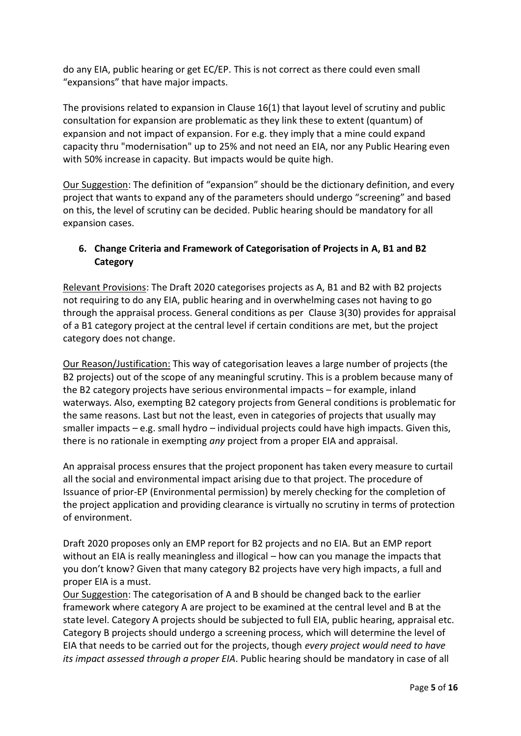do any EIA, public hearing or get EC/EP. This is not correct as there could even small "expansions" that have major impacts.

The provisions related to expansion in Clause 16(1) that layout level of scrutiny and public consultation for expansion are problematic as they link these to extent (quantum) of expansion and not impact of expansion. For e.g. they imply that a mine could expand capacity thru "modernisation" up to 25% and not need an EIA, nor any Public Hearing even with 50% increase in capacity. But impacts would be quite high.

Our Suggestion: The definition of "expansion" should be the dictionary definition, and every project that wants to expand any of the parameters should undergo "screening" and based on this, the level of scrutiny can be decided. Public hearing should be mandatory for all expansion cases.

# **6. Change Criteria and Framework of Categorisation of Projects in A, B1 and B2 Category**

Relevant Provisions: The Draft 2020 categorises projects as A, B1 and B2 with B2 projects not requiring to do any EIA, public hearing and in overwhelming cases not having to go through the appraisal process. General conditions as per Clause 3(30) provides for appraisal of a B1 category project at the central level if certain conditions are met, but the project category does not change.

Our Reason/Justification: This way of categorisation leaves a large number of projects (the B2 projects) out of the scope of any meaningful scrutiny. This is a problem because many of the B2 category projects have serious environmental impacts – for example, inland waterways. Also, exempting B2 category projects from General conditions is problematic for the same reasons. Last but not the least, even in categories of projects that usually may smaller impacts – e.g. small hydro – individual projects could have high impacts. Given this, there is no rationale in exempting *any* project from a proper EIA and appraisal.

An appraisal process ensures that the project proponent has taken every measure to curtail all the social and environmental impact arising due to that project. The procedure of Issuance of prior-EP (Environmental permission) by merely checking for the completion of the project application and providing clearance is virtually no scrutiny in terms of protection of environment.

Draft 2020 proposes only an EMP report for B2 projects and no EIA. But an EMP report without an EIA is really meaningless and illogical – how can you manage the impacts that you don't know? Given that many category B2 projects have very high impacts, a full and proper EIA is a must.

Our Suggestion: The categorisation of A and B should be changed back to the earlier framework where category A are project to be examined at the central level and B at the state level. Category A projects should be subjected to full EIA, public hearing, appraisal etc. Category B projects should undergo a screening process, which will determine the level of EIA that needs to be carried out for the projects, though *every project would need to have its impact assessed through a proper EIA*. Public hearing should be mandatory in case of all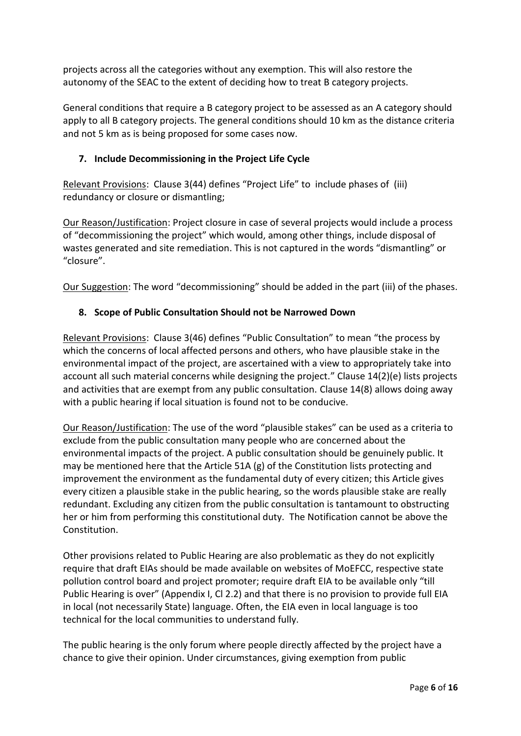projects across all the categories without any exemption. This will also restore the autonomy of the SEAC to the extent of deciding how to treat B category projects.

General conditions that require a B category project to be assessed as an A category should apply to all B category projects. The general conditions should 10 km as the distance criteria and not 5 km as is being proposed for some cases now.

# **7. Include Decommissioning in the Project Life Cycle**

Relevant Provisions: Clause 3(44) defines "Project Life" to include phases of (iii) redundancy or closure or dismantling;

Our Reason/Justification: Project closure in case of several projects would include a process of "decommissioning the project" which would, among other things, include disposal of wastes generated and site remediation. This is not captured in the words "dismantling" or "closure".

Our Suggestion: The word "decommissioning" should be added in the part (iii) of the phases.

# **8. Scope of Public Consultation Should not be Narrowed Down**

Relevant Provisions: Clause 3(46) defines "Public Consultation" to mean "the process by which the concerns of local affected persons and others, who have plausible stake in the environmental impact of the project, are ascertained with a view to appropriately take into account all such material concerns while designing the project." Clause 14(2)(e) lists projects and activities that are exempt from any public consultation. Clause 14(8) allows doing away with a public hearing if local situation is found not to be conducive.

Our Reason/Justification: The use of the word "plausible stakes" can be used as a criteria to exclude from the public consultation many people who are concerned about the environmental impacts of the project. A public consultation should be genuinely public. It may be mentioned here that the Article 51A (g) of the Constitution lists protecting and improvement the environment as the fundamental duty of every citizen; this Article gives every citizen a plausible stake in the public hearing, so the words plausible stake are really redundant. Excluding any citizen from the public consultation is tantamount to obstructing her or him from performing this constitutional duty. The Notification cannot be above the Constitution.

Other provisions related to Public Hearing are also problematic as they do not explicitly require that draft EIAs should be made available on websites of MoEFCC, respective state pollution control board and project promoter; require draft EIA to be available only "till Public Hearing is over" (Appendix I, Cl 2.2) and that there is no provision to provide full EIA in local (not necessarily State) language. Often, the EIA even in local language is too technical for the local communities to understand fully.

The public hearing is the only forum where people directly affected by the project have a chance to give their opinion. Under circumstances, giving exemption from public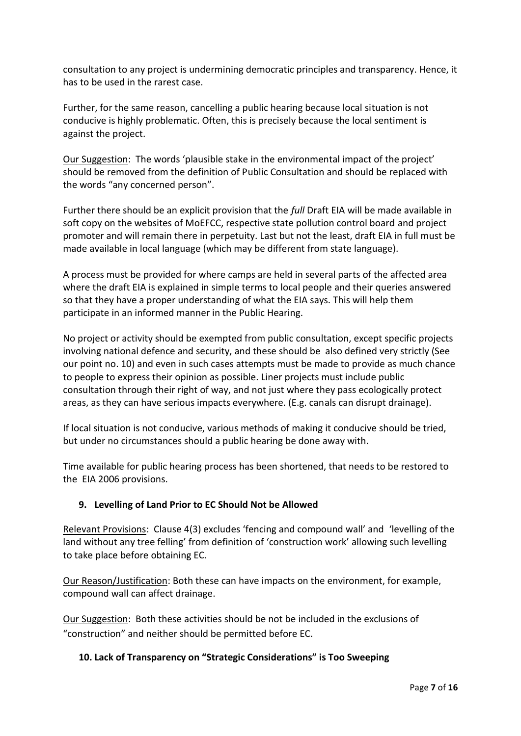consultation to any project is undermining democratic principles and transparency. Hence, it has to be used in the rarest case.

Further, for the same reason, cancelling a public hearing because local situation is not conducive is highly problematic. Often, this is precisely because the local sentiment is against the project.

Our Suggestion: The words 'plausible stake in the environmental impact of the project' should be removed from the definition of Public Consultation and should be replaced with the words "any concerned person".

Further there should be an explicit provision that the *full* Draft EIA will be made available in soft copy on the websites of MoEFCC, respective state pollution control board and project promoter and will remain there in perpetuity. Last but not the least, draft EIA in full must be made available in local language (which may be different from state language).

A process must be provided for where camps are held in several parts of the affected area where the draft EIA is explained in simple terms to local people and their queries answered so that they have a proper understanding of what the EIA says. This will help them participate in an informed manner in the Public Hearing.

No project or activity should be exempted from public consultation, except specific projects involving national defence and security, and these should be also defined very strictly (See our point no. 10) and even in such cases attempts must be made to provide as much chance to people to express their opinion as possible. Liner projects must include public consultation through their right of way, and not just where they pass ecologically protect areas, as they can have serious impacts everywhere. (E.g. canals can disrupt drainage).

If local situation is not conducive, various methods of making it conducive should be tried, but under no circumstances should a public hearing be done away with.

Time available for public hearing process has been shortened, that needs to be restored to the EIA 2006 provisions.

# **9. Levelling of Land Prior to EC Should Not be Allowed**

Relevant Provisions: Clause 4(3) excludes 'fencing and compound wall' and 'levelling of the land without any tree felling' from definition of 'construction work' allowing such levelling to take place before obtaining EC.

Our Reason/Justification: Both these can have impacts on the environment, for example, compound wall can affect drainage.

Our Suggestion: Both these activities should be not be included in the exclusions of "construction" and neither should be permitted before EC.

# **10. Lack of Transparency on "Strategic Considerations" is Too Sweeping**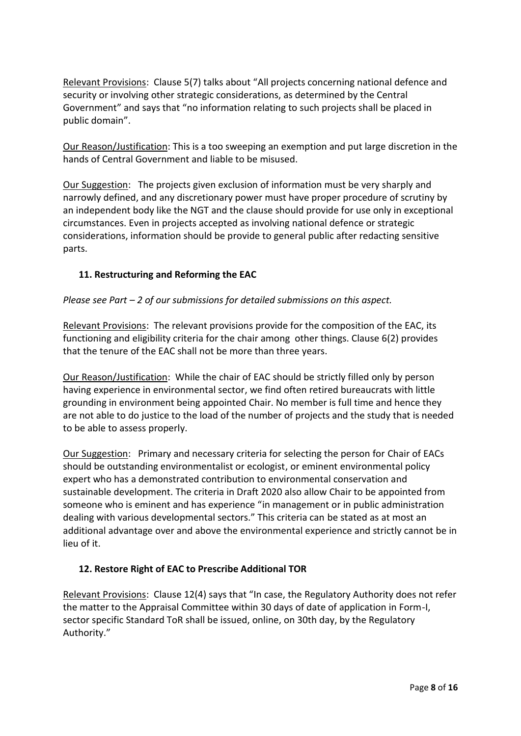Relevant Provisions: Clause 5(7) talks about "All projects concerning national defence and security or involving other strategic considerations, as determined by the Central Government" and says that "no information relating to such projects shall be placed in public domain".

Our Reason/Justification: This is a too sweeping an exemption and put large discretion in the hands of Central Government and liable to be misused.

Our Suggestion: The projects given exclusion of information must be very sharply and narrowly defined, and any discretionary power must have proper procedure of scrutiny by an independent body like the NGT and the clause should provide for use only in exceptional circumstances. Even in projects accepted as involving national defence or strategic considerations, information should be provide to general public after redacting sensitive parts.

# **11. Restructuring and Reforming the EAC**

#### *Please see Part – 2 of our submissions for detailed submissions on this aspect.*

Relevant Provisions: The relevant provisions provide for the composition of the EAC, its functioning and eligibility criteria for the chair among other things. Clause 6(2) provides that the tenure of the EAC shall not be more than three years.

Our Reason/Justification: While the chair of EAC should be strictly filled only by person having experience in environmental sector, we find often retired bureaucrats with little grounding in environment being appointed Chair. No member is full time and hence they are not able to do justice to the load of the number of projects and the study that is needed to be able to assess properly.

Our Suggestion: Primary and necessary criteria for selecting the person for Chair of EACs should be outstanding environmentalist or ecologist, or eminent environmental policy expert who has a demonstrated contribution to environmental conservation and sustainable development. The criteria in Draft 2020 also allow Chair to be appointed from someone who is eminent and has experience "in management or in public administration dealing with various developmental sectors." This criteria can be stated as at most an additional advantage over and above the environmental experience and strictly cannot be in lieu of it.

# **12. Restore Right of EAC to Prescribe Additional TOR**

Relevant Provisions: Clause 12(4) says that "In case, the Regulatory Authority does not refer the matter to the Appraisal Committee within 30 days of date of application in Form-I, sector specific Standard ToR shall be issued, online, on 30th day, by the Regulatory Authority."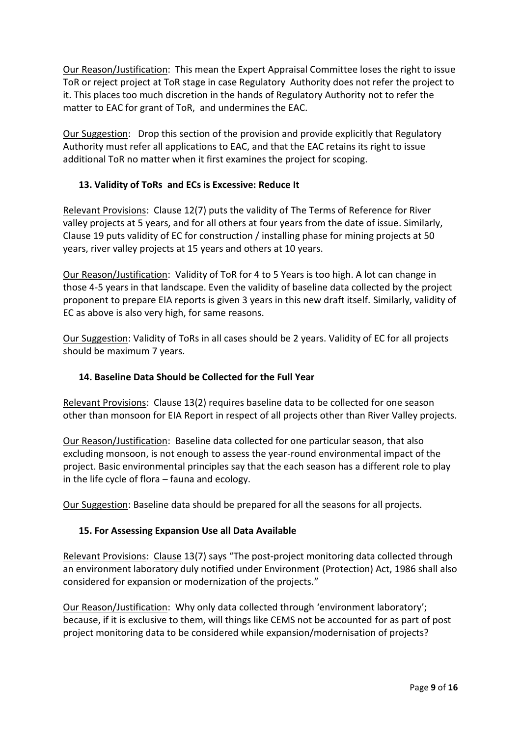Our Reason/Justification: This mean the Expert Appraisal Committee loses the right to issue ToR or reject project at ToR stage in case Regulatory Authority does not refer the project to it. This places too much discretion in the hands of Regulatory Authority not to refer the matter to EAC for grant of ToR, and undermines the EAC.

Our Suggestion: Drop this section of the provision and provide explicitly that Regulatory Authority must refer all applications to EAC, and that the EAC retains its right to issue additional ToR no matter when it first examines the project for scoping.

#### **13. Validity of ToRs and ECs is Excessive: Reduce It**

Relevant Provisions: Clause 12(7) puts the validity of The Terms of Reference for River valley projects at 5 years, and for all others at four years from the date of issue. Similarly, Clause 19 puts validity of EC for construction / installing phase for mining projects at 50 years, river valley projects at 15 years and others at 10 years.

Our Reason/Justification: Validity of ToR for 4 to 5 Years is too high. A lot can change in those 4-5 years in that landscape. Even the validity of baseline data collected by the project proponent to prepare EIA reports is given 3 years in this new draft itself. Similarly, validity of EC as above is also very high, for same reasons.

Our Suggestion: Validity of ToRs in all cases should be 2 years. Validity of EC for all projects should be maximum 7 years.

# **14. Baseline Data Should be Collected for the Full Year**

Relevant Provisions: Clause 13(2) requires baseline data to be collected for one season other than monsoon for EIA Report in respect of all projects other than River Valley projects.

Our Reason/Justification: Baseline data collected for one particular season, that also excluding monsoon, is not enough to assess the year-round environmental impact of the project. Basic environmental principles say that the each season has a different role to play in the life cycle of flora – fauna and ecology.

Our Suggestion: Baseline data should be prepared for all the seasons for all projects.

#### **15. For Assessing Expansion Use all Data Available**

Relevant Provisions: Clause 13(7) says "The post-project monitoring data collected through an environment laboratory duly notified under Environment (Protection) Act, 1986 shall also considered for expansion or modernization of the projects."

Our Reason/Justification: Why only data collected through 'environment laboratory'; because, if it is exclusive to them, will things like CEMS not be accounted for as part of post project monitoring data to be considered while expansion/modernisation of projects?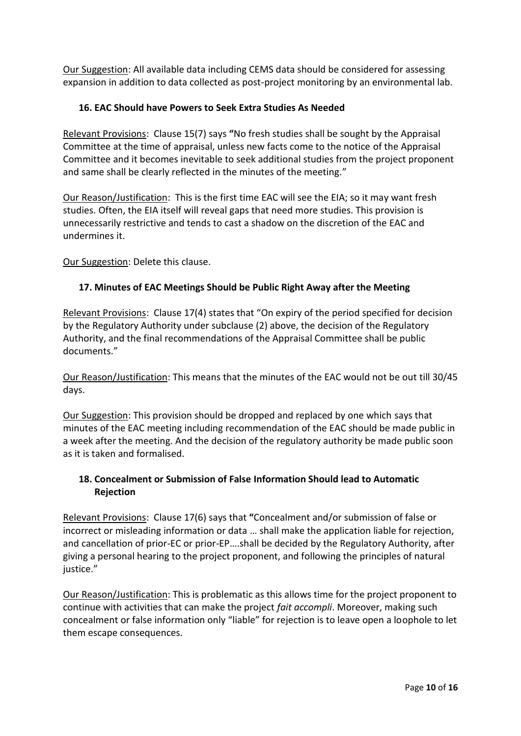Our Suggestion: All available data including CEMS data should be considered for assessing expansion in addition to data collected as post-project monitoring by an environmental lab.

# **16. EAC Should have Powers to Seek Extra Studies As Needed**

Relevant Provisions: Clause 15(7) says **"**No fresh studies shall be sought by the Appraisal Committee at the time of appraisal, unless new facts come to the notice of the Appraisal Committee and it becomes inevitable to seek additional studies from the project proponent and same shall be clearly reflected in the minutes of the meeting."

Our Reason/Justification: This is the first time EAC will see the EIA; so it may want fresh studies. Often, the EIA itself will reveal gaps that need more studies. This provision is unnecessarily restrictive and tends to cast a shadow on the discretion of the EAC and undermines it.

Our Suggestion: Delete this clause.

# **17. Minutes of EAC Meetings Should be Public Right Away after the Meeting**

Relevant Provisions: Clause 17(4) states that "On expiry of the period specified for decision by the Regulatory Authority under subclause (2) above, the decision of the Regulatory Authority, and the final recommendations of the Appraisal Committee shall be public documents."

Our Reason/Justification: This means that the minutes of the EAC would not be out till 30/45 days.

Our Suggestion: This provision should be dropped and replaced by one which says that minutes of the EAC meeting including recommendation of the EAC should be made public in a week after the meeting. And the decision of the regulatory authority be made public soon as it is taken and formalised.

# **18. Concealment or Submission of False Information Should lead to Automatic Rejection**

Relevant Provisions: Clause 17(6) says that **"**Concealment and/or submission of false or incorrect or misleading information or data … shall make the application liable for rejection, and cancellation of prior-EC or prior-EP….shall be decided by the Regulatory Authority, after giving a personal hearing to the project proponent, and following the principles of natural iustice."

Our Reason/Justification: This is problematic as this allows time for the project proponent to continue with activities that can make the project *fait accompli*. Moreover, making such concealment or false information only "liable" for rejection is to leave open a loophole to let them escape consequences.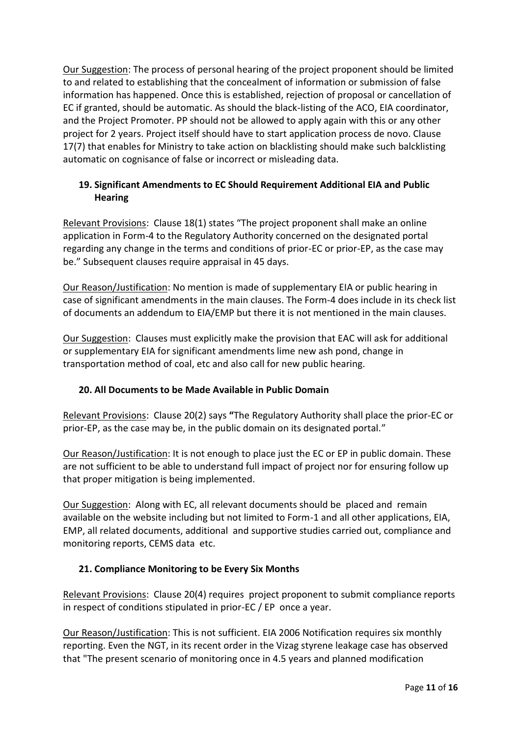Our Suggestion: The process of personal hearing of the project proponent should be limited to and related to establishing that the concealment of information or submission of false information has happened. Once this is established, rejection of proposal or cancellation of EC if granted, should be automatic. As should the black-listing of the ACO, EIA coordinator, and the Project Promoter. PP should not be allowed to apply again with this or any other project for 2 years. Project itself should have to start application process de novo. Clause 17(7) that enables for Ministry to take action on blacklisting should make such balcklisting automatic on cognisance of false or incorrect or misleading data.

# **19. Significant Amendments to EC Should Requirement Additional EIA and Public Hearing**

Relevant Provisions: Clause 18(1) states "The project proponent shall make an online application in Form-4 to the Regulatory Authority concerned on the designated portal regarding any change in the terms and conditions of prior-EC or prior-EP, as the case may be." Subsequent clauses require appraisal in 45 days.

Our Reason/Justification: No mention is made of supplementary EIA or public hearing in case of significant amendments in the main clauses. The Form-4 does include in its check list of documents an addendum to EIA/EMP but there it is not mentioned in the main clauses.

Our Suggestion: Clauses must explicitly make the provision that EAC will ask for additional or supplementary EIA for significant amendments lime new ash pond, change in transportation method of coal, etc and also call for new public hearing.

# **20. All Documents to be Made Available in Public Domain**

Relevant Provisions: Clause 20(2) says **"**The Regulatory Authority shall place the prior-EC or prior-EP, as the case may be, in the public domain on its designated portal."

Our Reason/Justification: It is not enough to place just the EC or EP in public domain. These are not sufficient to be able to understand full impact of project nor for ensuring follow up that proper mitigation is being implemented.

Our Suggestion: Along with EC, all relevant documents should be placed and remain available on the website including but not limited to Form-1 and all other applications, EIA, EMP, all related documents, additional and supportive studies carried out, compliance and monitoring reports, CEMS data etc.

# **21. Compliance Monitoring to be Every Six Months**

Relevant Provisions: Clause 20(4) requires project proponent to submit compliance reports in respect of conditions stipulated in prior-EC / EP once a year.

Our Reason/Justification: This is not sufficient. EIA 2006 Notification requires six monthly reporting. Even the NGT, in its recent order in the Vizag styrene leakage case has observed that "The present scenario of monitoring once in 4.5 years and planned modification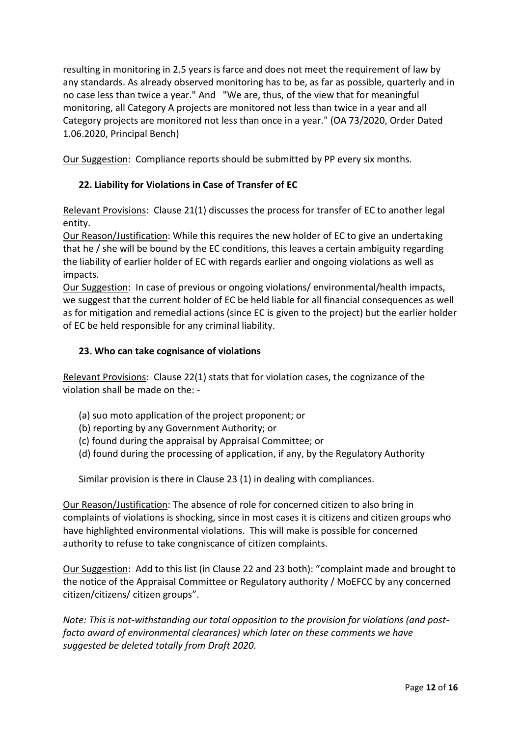resulting in monitoring in 2.5 years is farce and does not meet the requirement of law by any standards. As already observed monitoring has to be, as far as possible, quarterly and in no case less than twice a year." And "We are, thus, of the view that for meaningful monitoring, all Category A projects are monitored not less than twice in a year and all Category projects are monitored not less than once in a year." (OA 73/2020, Order Dated 1.06.2020, Principal Bench)

Our Suggestion: Compliance reports should be submitted by PP every six months.

## **22. Liability for Violations in Case of Transfer of EC**

Relevant Provisions: Clause 21(1) discusses the process for transfer of EC to another legal entity.

Our Reason/Justification: While this requires the new holder of EC to give an undertaking that he / she will be bound by the EC conditions, this leaves a certain ambiguity regarding the liability of earlier holder of EC with regards earlier and ongoing violations as well as impacts.

Our Suggestion: In case of previous or ongoing violations/ environmental/health impacts, we suggest that the current holder of EC be held liable for all financial consequences as well as for mitigation and remedial actions (since EC is given to the project) but the earlier holder of EC be held responsible for any criminal liability.

#### **23. Who can take cognisance of violations**

Relevant Provisions: Clause 22(1) stats that for violation cases, the cognizance of the violation shall be made on the:-

- (a) suo moto application of the project proponent; or
- (b) reporting by any Government Authority; or
- (c) found during the appraisal by Appraisal Committee; or
- (d) found during the processing of application, if any, by the Regulatory Authority

Similar provision is there in Clause 23 (1) in dealing with compliances.

Our Reason/Justification: The absence of role for concerned citizen to also bring in complaints of violations is shocking, since in most cases it is citizens and citizen groups who have highlighted environmental violations. This will make is possible for concerned authority to refuse to take congniscance of citizen complaints.

Our Suggestion: Add to this list (in Clause 22 and 23 both): "complaint made and brought to the notice of the Appraisal Committee or Regulatory authority / MoEFCC by any concerned citizen/citizens/ citizen groups".

*Note: This is not-withstanding our total opposition to the provision for violations (and postfacto award of environmental clearances) which later on these comments we have suggested be deleted totally from Draft 2020.*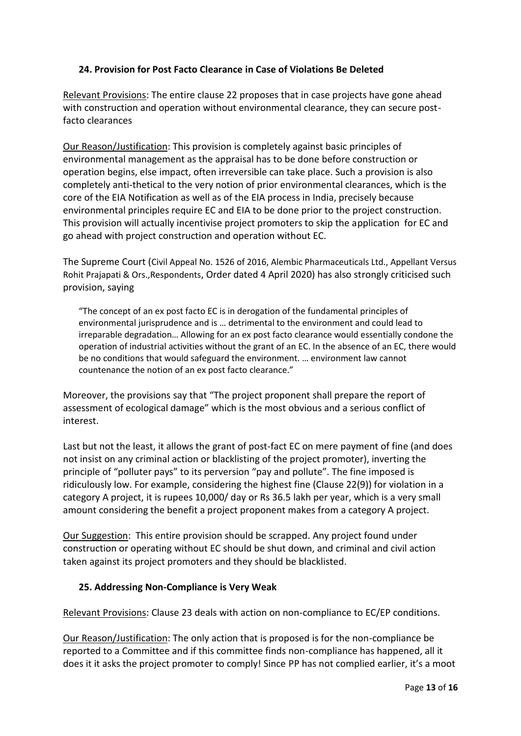# **24. Provision for Post Facto Clearance in Case of Violations Be Deleted**

Relevant Provisions: The entire clause 22 proposes that in case projects have gone ahead with construction and operation without environmental clearance, they can secure postfacto clearances

Our Reason/Justification: This provision is completely against basic principles of environmental management as the appraisal has to be done before construction or operation begins, else impact, often irreversible can take place. Such a provision is also completely anti-thetical to the very notion of prior environmental clearances, which is the core of the EIA Notification as well as of the EIA process in India, precisely because environmental principles require EC and EIA to be done prior to the project construction. This provision will actually incentivise project promoters to skip the application for EC and go ahead with project construction and operation without EC.

The Supreme Court (Civil Appeal No. 1526 of 2016, Alembic Pharmaceuticals Ltd., Appellant Versus Rohit Prajapati & Ors.,Respondents, Order dated 4 April 2020) has also strongly criticised such provision, saying

"The concept of an ex post facto EC is in derogation of the fundamental principles of environmental jurisprudence and is … detrimental to the environment and could lead to irreparable degradation… Allowing for an ex post facto clearance would essentially condone the operation of industrial activities without the grant of an EC. In the absence of an EC, there would be no conditions that would safeguard the environment. … environment law cannot countenance the notion of an ex post facto clearance."

Moreover, the provisions say that "The project proponent shall prepare the report of assessment of ecological damage" which is the most obvious and a serious conflict of interest.

Last but not the least, it allows the grant of post-fact EC on mere payment of fine (and does not insist on any criminal action or blacklisting of the project promoter), inverting the principle of "polluter pays" to its perversion "pay and pollute". The fine imposed is ridiculously low. For example, considering the highest fine (Clause 22(9)) for violation in a category A project, it is rupees 10,000/ day or Rs 36.5 lakh per year, which is a very small amount considering the benefit a project proponent makes from a category A project.

Our Suggestion: This entire provision should be scrapped. Any project found under construction or operating without EC should be shut down, and criminal and civil action taken against its project promoters and they should be blacklisted.

# **25. Addressing Non-Compliance is Very Weak**

Relevant Provisions: Clause 23 deals with action on non-compliance to EC/EP conditions.

Our Reason/Justification: The only action that is proposed is for the non-compliance be reported to a Committee and if this committee finds non-compliance has happened, all it does it it asks the project promoter to comply! Since PP has not complied earlier, it's a moot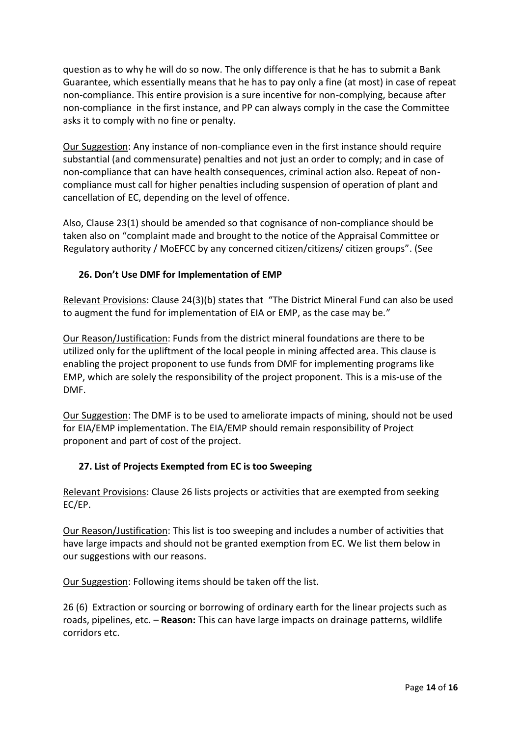question as to why he will do so now. The only difference is that he has to submit a Bank Guarantee, which essentially means that he has to pay only a fine (at most) in case of repeat non-compliance. This entire provision is a sure incentive for non-complying, because after non-compliance in the first instance, and PP can always comply in the case the Committee asks it to comply with no fine or penalty.

Our Suggestion: Any instance of non-compliance even in the first instance should require substantial (and commensurate) penalties and not just an order to comply; and in case of non-compliance that can have health consequences, criminal action also. Repeat of non compliance must call for higher penalties including suspension of operation of plant and cancellation of EC, depending on the level of offence.

Also, Clause 23(1) should be amended so that cognisance of non-compliance should be taken also on "complaint made and brought to the notice of the Appraisal Committee or Regulatory authority / MoEFCC by any concerned citizen/citizens/ citizen groups". (See

# **26. Don't Use DMF for Implementation of EMP**

Relevant Provisions: Clause 24(3)(b) states that "The District Mineral Fund can also be used to augment the fund for implementation of EIA or EMP, as the case may be."

Our Reason/Justification: Funds from the district mineral foundations are there to be utilized only for the upliftment of the local people in mining affected area. This clause is enabling the project proponent to use funds from DMF for implementing programs like EMP, which are solely the responsibility of the project proponent. This is a mis-use of the DMF.

Our Suggestion: The DMF is to be used to ameliorate impacts of mining, should not be used for EIA/EMP implementation. The EIA/EMP should remain responsibility of Project proponent and part of cost of the project.

#### **27. List of Projects Exempted from EC is too Sweeping**

Relevant Provisions: Clause 26 lists projects or activities that are exempted from seeking EC/EP.

Our Reason/Justification: This list is too sweeping and includes a number of activities that have large impacts and should not be granted exemption from EC. We list them below in our suggestions with our reasons.

Our Suggestion: Following items should be taken off the list.

26 (6) Extraction or sourcing or borrowing of ordinary earth for the linear projects such as roads, pipelines, etc. – **Reason:** This can have large impacts on drainage patterns, wildlife corridors etc.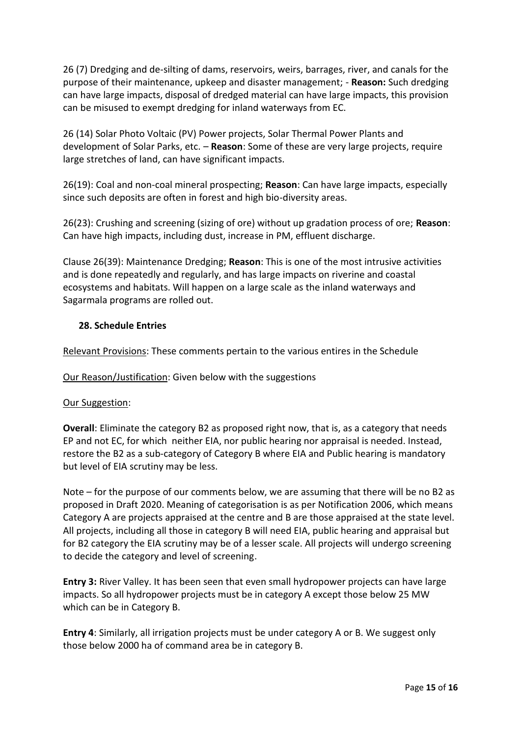26 (7) Dredging and de-silting of dams, reservoirs, weirs, barrages, river, and canals for the purpose of their maintenance, upkeep and disaster management; - **Reason:** Such dredging can have large impacts, disposal of dredged material can have large impacts, this provision can be misused to exempt dredging for inland waterways from EC.

26 (14) Solar Photo Voltaic (PV) Power projects, Solar Thermal Power Plants and development of Solar Parks, etc. – **Reason**: Some of these are very large projects, require large stretches of land, can have significant impacts.

26(19): Coal and non-coal mineral prospecting; **Reason**: Can have large impacts, especially since such deposits are often in forest and high bio-diversity areas.

26(23): Crushing and screening (sizing of ore) without up gradation process of ore; **Reason**: Can have high impacts, including dust, increase in PM, effluent discharge.

Clause 26(39): Maintenance Dredging; **Reason**: This is one of the most intrusive activities and is done repeatedly and regularly, and has large impacts on riverine and coastal ecosystems and habitats. Will happen on a large scale as the inland waterways and Sagarmala programs are rolled out.

#### **28. Schedule Entries**

Relevant Provisions: These comments pertain to the various entires in the Schedule

Our Reason/Justification: Given below with the suggestions

#### Our Suggestion:

**Overall:** Eliminate the category B2 as proposed right now, that is, as a category that needs EP and not EC, for which neither EIA, nor public hearing nor appraisal is needed. Instead, restore the B2 as a sub-category of Category B where EIA and Public hearing is mandatory but level of EIA scrutiny may be less.

Note – for the purpose of our comments below, we are assuming that there will be no B2 as proposed in Draft 2020. Meaning of categorisation is as per Notification 2006, which means Category A are projects appraised at the centre and B are those appraised at the state level. All projects, including all those in category B will need EIA, public hearing and appraisal but for B2 category the EIA scrutiny may be of a lesser scale. All projects will undergo screening to decide the category and level of screening.

**Entry 3:** River Valley. It has been seen that even small hydropower projects can have large impacts. So all hydropower projects must be in category A except those below 25 MW which can be in Category B.

**Entry 4**: Similarly, all irrigation projects must be under category A or B. We suggest only those below 2000 ha of command area be in category B.